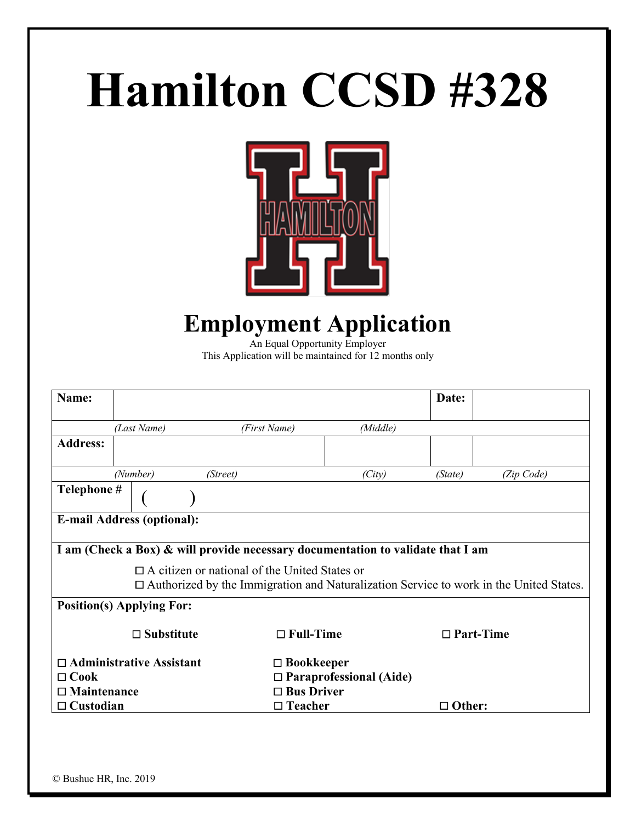# **Hamilton CCSD #328**



# **Employment Application**

An Equal Opportunity Employer This Application will be maintained for 12 months only

| Name:              |                                                                                                                                                       |                                                                                 |                                | Date:            |            |  |  |  |
|--------------------|-------------------------------------------------------------------------------------------------------------------------------------------------------|---------------------------------------------------------------------------------|--------------------------------|------------------|------------|--|--|--|
|                    | (Last Name)                                                                                                                                           | (First Name)                                                                    | (Middle)                       |                  |            |  |  |  |
| <b>Address:</b>    |                                                                                                                                                       |                                                                                 |                                |                  |            |  |  |  |
|                    | (Number)                                                                                                                                              | (Street)                                                                        | (City)                         | (State)          | (Zip Code) |  |  |  |
| Telephone #        |                                                                                                                                                       |                                                                                 |                                |                  |            |  |  |  |
|                    | <b>E-mail Address (optional):</b>                                                                                                                     |                                                                                 |                                |                  |            |  |  |  |
|                    |                                                                                                                                                       | I am (Check a Box) & will provide necessary documentation to validate that I am |                                |                  |            |  |  |  |
|                    | $\Box$ A citizen or national of the United States or<br>$\Box$ Authorized by the Immigration and Naturalization Service to work in the United States. |                                                                                 |                                |                  |            |  |  |  |
|                    | <b>Position(s) Applying For:</b>                                                                                                                      |                                                                                 |                                |                  |            |  |  |  |
|                    | $\square$ Substitute                                                                                                                                  | $\Box$ Full-Time                                                                |                                | $\Box$ Part-Time |            |  |  |  |
|                    | $\Box$ Administrative Assistant                                                                                                                       | $\Box$ Bookkeeper                                                               |                                |                  |            |  |  |  |
| $\Box$ Cook        |                                                                                                                                                       |                                                                                 | $\Box$ Paraprofessional (Aide) |                  |            |  |  |  |
| $\Box$ Maintenance |                                                                                                                                                       | $\Box$ Bus Driver                                                               |                                |                  |            |  |  |  |
| $\Box$ Custodian   |                                                                                                                                                       | $\Box$ Teacher                                                                  |                                | $\Box$ Other:    |            |  |  |  |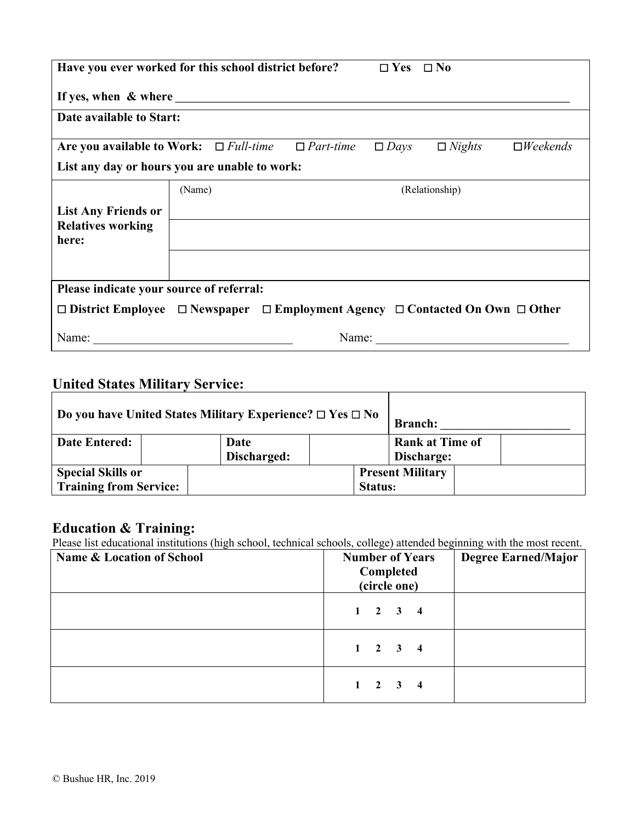|                                                                                                         | Have you ever worked for this school district before?<br>$\Box$ Yes $\Box$ No |  |       |             |                |                           |  |  |
|---------------------------------------------------------------------------------------------------------|-------------------------------------------------------------------------------|--|-------|-------------|----------------|---------------------------|--|--|
|                                                                                                         |                                                                               |  |       |             |                |                           |  |  |
| Date available to Start:                                                                                |                                                                               |  |       |             |                |                           |  |  |
| Are you available to Work: $\Box$ Full-time $\Box$ Part-time                                            |                                                                               |  |       | $\Box$ Days | $\Box$ Nights  | $\square$ <i>Weekends</i> |  |  |
| List any day or hours you are unable to work:                                                           |                                                                               |  |       |             |                |                           |  |  |
|                                                                                                         | (Name)                                                                        |  |       |             | (Relationship) |                           |  |  |
| <b>List Any Friends or</b>                                                                              |                                                                               |  |       |             |                |                           |  |  |
| <b>Relatives working</b><br>here:                                                                       |                                                                               |  |       |             |                |                           |  |  |
|                                                                                                         |                                                                               |  |       |             |                |                           |  |  |
|                                                                                                         |                                                                               |  |       |             |                |                           |  |  |
| Please indicate your source of referral:                                                                |                                                                               |  |       |             |                |                           |  |  |
| $\Box$ District Employee $\Box$ Newspaper $\Box$ Employment Agency $\Box$ Contacted On Own $\Box$ Other |                                                                               |  |       |             |                |                           |  |  |
| Name:                                                                                                   |                                                                               |  | Name: |             |                |                           |  |  |

## **United States Military Service:**

| Do you have United States Military Experience? $\Box$ Yes $\Box$ No |  |                                      |  | <b>Branch:</b>                            |  |
|---------------------------------------------------------------------|--|--------------------------------------|--|-------------------------------------------|--|
| <b>Date Entered:</b><br>Date<br>Discharged:                         |  | <b>Rank at Time of</b><br>Discharge: |  |                                           |  |
| <b>Special Skills or</b><br><b>Training from Service:</b>           |  |                                      |  | <b>Present Military</b><br><b>Status:</b> |  |

### **Education & Training:**

Please list educational institutions (high school, technical schools, college) attended beginning with the most recent.

| <b>Name &amp; Location of School</b> | <b>Number of Years</b><br>Completed<br>(circle one) | <b>Degree Earned/Major</b> |
|--------------------------------------|-----------------------------------------------------|----------------------------|
|                                      | $1 \quad 2 \quad 3 \quad 4$                         |                            |
|                                      | $1 \quad 2 \quad 3 \quad 4$                         |                            |
|                                      | $1 \quad 2 \quad 3$<br>$\overline{\mathbf{4}}$      |                            |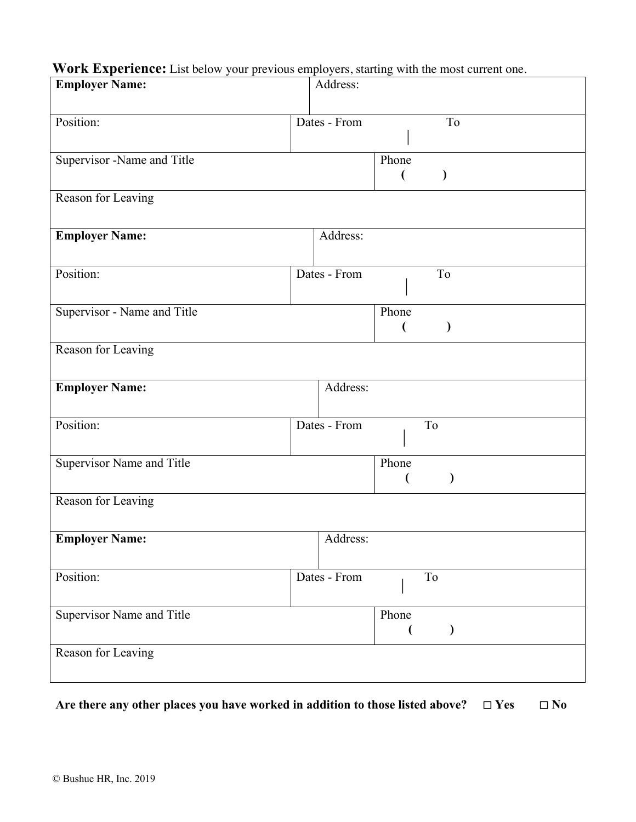#### **Work Experience:** List below your previous employers, starting with the most current one.

| <b>Employer Name:</b>            | Address:                            |
|----------------------------------|-------------------------------------|
|                                  |                                     |
| Position:                        | Dates - From<br>To                  |
| Supervisor -Name and Title       | Phone                               |
|                                  | ⟩<br>(                              |
| Reason for Leaving               |                                     |
|                                  |                                     |
| <b>Employer Name:</b>            | Address:                            |
| Position:                        | Dates - From<br>To                  |
|                                  |                                     |
| Supervisor - Name and Title      | Phone                               |
|                                  | $\mathcal{E}$<br>€                  |
| Reason for Leaving               |                                     |
|                                  |                                     |
| <b>Employer Name:</b>            | Address:                            |
| Position:                        | Dates - From<br>To                  |
|                                  |                                     |
| <b>Supervisor Name and Title</b> | Phone                               |
|                                  |                                     |
| Reason for Leaving               |                                     |
|                                  |                                     |
| <b>Employer Name:</b>            | Address:                            |
| Position:                        | Dates - From<br>$\operatorname{To}$ |
|                                  |                                     |
| Supervisor Name and Title        | Phone                               |
|                                  |                                     |
| Reason for Leaving               |                                     |
|                                  |                                     |

**Are there any other places you have worked in addition to those listed above? 
□ Yes**  $\Box$  **No**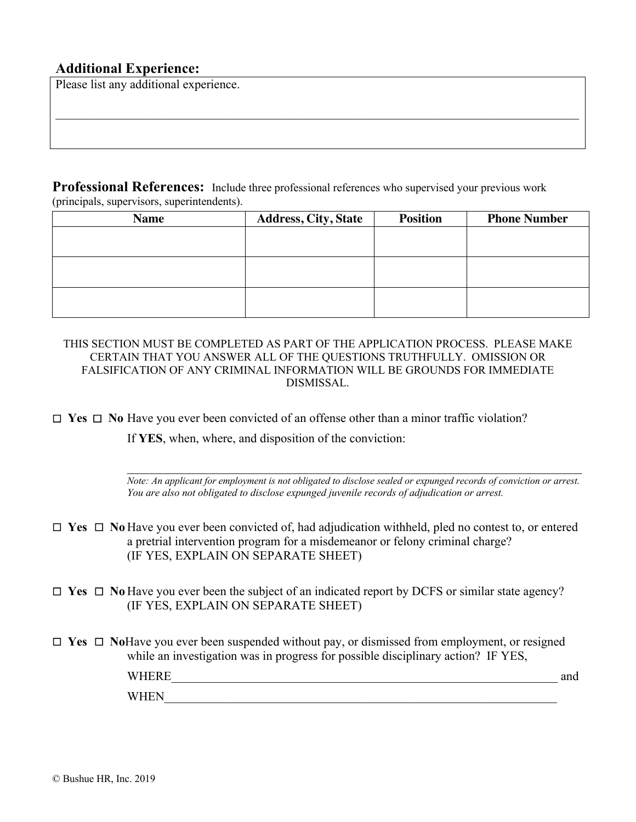#### **Additional Experience:**

Please list any additional experience.

**Professional References:** Include three professional references who supervised your previous work (principals, supervisors, superintendents).

 $\_$  , and the set of the set of the set of the set of the set of the set of the set of the set of the set of the set of the set of the set of the set of the set of the set of the set of the set of the set of the set of th

| <b>Name</b> | <b>Address, City, State</b> | <b>Position</b> | <b>Phone Number</b> |
|-------------|-----------------------------|-----------------|---------------------|
|             |                             |                 |                     |
|             |                             |                 |                     |
|             |                             |                 |                     |
|             |                             |                 |                     |
|             |                             |                 |                     |
|             |                             |                 |                     |

THIS SECTION MUST BE COMPLETED AS PART OF THE APPLICATION PROCESS. PLEASE MAKE CERTAIN THAT YOU ANSWER ALL OF THE QUESTIONS TRUTHFULLY. OMISSION OR FALSIFICATION OF ANY CRIMINAL INFORMATION WILL BE GROUNDS FOR IMMEDIATE DISMISSAL.

£ **Yes** £ **No** Have you ever been convicted of an offense other than a minor traffic violation?

If **YES**, when, where, and disposition of the conviction:

 $\mathcal{L}_\mathcal{L} = \mathcal{L}_\mathcal{L} = \mathcal{L}_\mathcal{L} = \mathcal{L}_\mathcal{L} = \mathcal{L}_\mathcal{L} = \mathcal{L}_\mathcal{L} = \mathcal{L}_\mathcal{L} = \mathcal{L}_\mathcal{L} = \mathcal{L}_\mathcal{L} = \mathcal{L}_\mathcal{L} = \mathcal{L}_\mathcal{L} = \mathcal{L}_\mathcal{L} = \mathcal{L}_\mathcal{L} = \mathcal{L}_\mathcal{L} = \mathcal{L}_\mathcal{L} = \mathcal{L}_\mathcal{L} = \mathcal{L}_\mathcal{L}$ *Note: An applicant for employment is not obligated to disclose sealed or expunged records of conviction or arrest. You are also not obligated to disclose expunged juvenile records of adjudication or arrest.*

- £ **Yes** £ **No** Have you ever been convicted of, had adjudication withheld, pled no contest to, or entered a pretrial intervention program for a misdemeanor or felony criminal charge? (IF YES, EXPLAIN ON SEPARATE SHEET)
- £ **Yes** £ **No** Have you ever been the subject of an indicated report by DCFS or similar state agency? (IF YES, EXPLAIN ON SEPARATE SHEET)

£ **Yes** £ **No**Have you ever been suspended without pay, or dismissed from employment, or resigned while an investigation was in progress for possible disciplinary action? IF YES, WHERE\_\_\_\_\_\_\_\_\_\_\_\_\_\_\_\_\_\_\_\_\_\_\_\_\_\_\_\_\_\_\_\_\_\_\_\_\_\_\_\_\_\_\_\_\_\_\_\_\_\_\_\_\_\_\_\_\_\_\_\_\_\_ and WHEN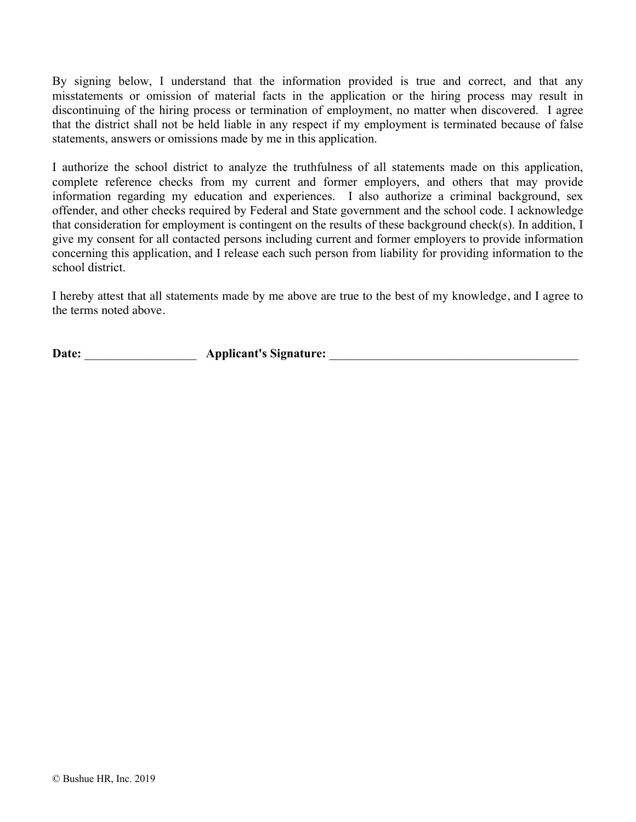By signing below, I understand that the information provided is true and correct, and that any misstatements or omission of material facts in the application or the hiring process may result in discontinuing of the hiring process or termination of employment, no matter when discovered. I agree that the district shall not be held liable in any respect if my employment is terminated because of false statements, answers or omissions made by me in this application.

I authorize the school district to analyze the truthfulness of all statements made on this application, complete reference checks from my current and former employers, and others that may provide information regarding my education and experiences. I also authorize a criminal background, sex offender, and other checks required by Federal and State government and the school code. I acknowledge that consideration for employment is contingent on the results of these background check(s). In addition, I give my consent for all contacted persons including current and former employers to provide information concerning this application, and I release each such person from liability for providing information to the school district.

I hereby attest that all statements made by me above are true to the best of my knowledge, and I agree to the terms noted above.

**Date:** \_\_\_\_\_\_\_\_\_\_\_\_\_\_\_\_\_\_ **Applicant's Signature:** \_\_\_\_\_\_\_\_\_\_\_\_\_\_\_\_\_\_\_\_\_\_\_\_\_\_\_\_\_\_\_\_\_\_\_\_\_\_\_\_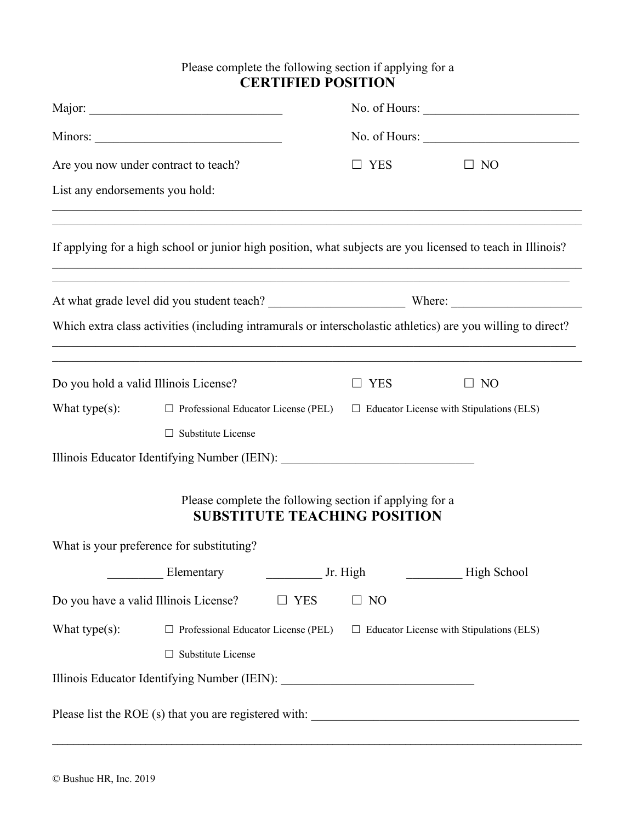#### Please complete the following section if applying for a **CERTIFIED POSITION**

|                                       |                                                                                  |                                                                                                | No. of Hours: |                                                                                                              |  |
|---------------------------------------|----------------------------------------------------------------------------------|------------------------------------------------------------------------------------------------|---------------|--------------------------------------------------------------------------------------------------------------|--|
|                                       |                                                                                  |                                                                                                | No. of Hours: |                                                                                                              |  |
| Are you now under contract to teach?  |                                                                                  | $\square$ YES                                                                                  | $\Box$ NO     |                                                                                                              |  |
| List any endorsements you hold:       |                                                                                  |                                                                                                |               |                                                                                                              |  |
|                                       |                                                                                  |                                                                                                |               | If applying for a high school or junior high position, what subjects are you licensed to teach in Illinois?  |  |
|                                       |                                                                                  |                                                                                                |               | ,我们也不能在这里的时候,我们也不能在这里的时候,我们也不能会在这里的时候,我们也不能会在这里的时候,我们也不能会在这里的时候,我们也不能会在这里的时候,我们也不                            |  |
|                                       |                                                                                  |                                                                                                |               | Which extra class activities (including intramurals or interscholastic athletics) are you willing to direct? |  |
| Do you hold a valid Illinois License? | ,我们也不能在这里的时候,我们也不能在这里的时候,我们也不能会在这里的时候,我们也不能会在这里的时候,我们也不能会在这里的时候,我们也不能会在这里的时候,我们也 |                                                                                                | <b>YES</b>    | $\Box$ NO                                                                                                    |  |
| What type $(s)$ :                     | $\Box$ Professional Educator License (PEL)                                       |                                                                                                |               | $\Box$ Educator License with Stipulations (ELS)                                                              |  |
|                                       | $\Box$ Substitute License                                                        |                                                                                                |               |                                                                                                              |  |
|                                       | Illinois Educator Identifying Number (IEIN): ___________________________________ |                                                                                                |               |                                                                                                              |  |
|                                       |                                                                                  | Please complete the following section if applying for a<br><b>SUBSTITUTE TEACHING POSITION</b> |               |                                                                                                              |  |
|                                       | What is your preference for substituting?                                        |                                                                                                |               |                                                                                                              |  |
|                                       | Elementary                                                                       |                                                                                                | Jr. High      | High School                                                                                                  |  |
| Do you have a valid Illinois License? |                                                                                  | $\square$ YES                                                                                  | $\Box$ NO     |                                                                                                              |  |
| What type $(s)$ :                     | $\Box$ Professional Educator License (PEL)                                       |                                                                                                |               | $\Box$ Educator License with Stipulations (ELS)                                                              |  |
|                                       | $\Box$ Substitute License                                                        |                                                                                                |               |                                                                                                              |  |
|                                       | Illinois Educator Identifying Number (IEIN): ___________________________________ |                                                                                                |               |                                                                                                              |  |
|                                       |                                                                                  |                                                                                                |               |                                                                                                              |  |

 $\mathcal{L}_\mathcal{L} = \mathcal{L}_\mathcal{L} = \mathcal{L}_\mathcal{L} = \mathcal{L}_\mathcal{L} = \mathcal{L}_\mathcal{L} = \mathcal{L}_\mathcal{L} = \mathcal{L}_\mathcal{L} = \mathcal{L}_\mathcal{L} = \mathcal{L}_\mathcal{L} = \mathcal{L}_\mathcal{L} = \mathcal{L}_\mathcal{L} = \mathcal{L}_\mathcal{L} = \mathcal{L}_\mathcal{L} = \mathcal{L}_\mathcal{L} = \mathcal{L}_\mathcal{L} = \mathcal{L}_\mathcal{L} = \mathcal{L}_\mathcal{L}$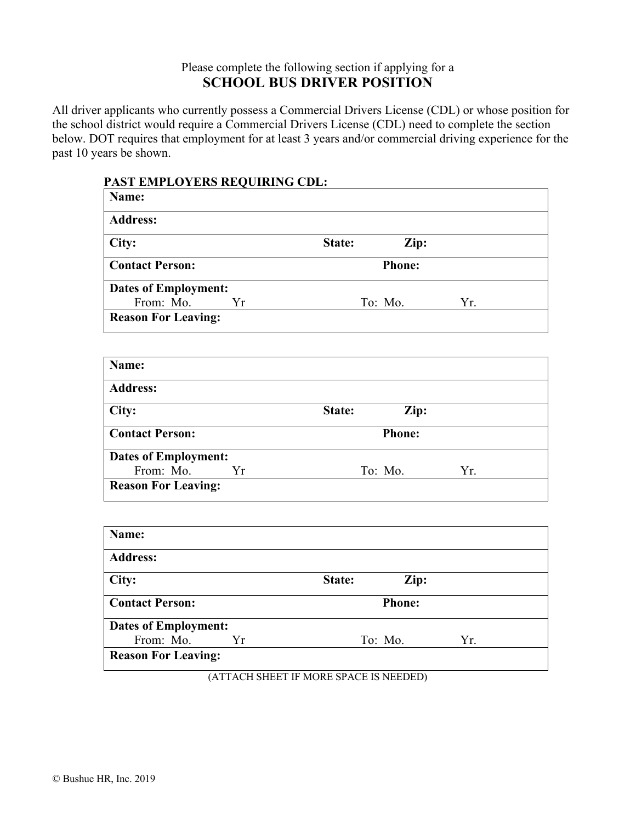#### Please complete the following section if applying for a **SCHOOL BUS DRIVER POSITION**

All driver applicants who currently possess a Commercial Drivers License (CDL) or whose position for the school district would require a Commercial Drivers License (CDL) need to complete the section below. DOT requires that employment for at least 3 years and/or commercial driving experience for the past 10 years be shown.

| Name:                       |         |               |     |
|-----------------------------|---------|---------------|-----|
| <b>Address:</b>             |         |               |     |
| City:                       | State:  | Zip:          |     |
| <b>Contact Person:</b>      |         | <b>Phone:</b> |     |
| <b>Dates of Employment:</b> |         |               |     |
| From: Mo.<br>Yr             | To: Mo. |               | Yr. |
| <b>Reason For Leaving:</b>  |         |               |     |
|                             |         |               |     |
| Name:                       |         |               |     |
| <b>Address:</b>             |         |               |     |
| City:                       | State:  | Zip:          |     |
| <b>Contact Person:</b>      |         | <b>Phone:</b> |     |
| <b>Dates of Employment:</b> |         |               |     |
| From: Mo.<br>Yr             | To: Mo. |               | Yr. |
| <b>Reason For Leaving:</b>  |         |               |     |
|                             |         |               |     |
| Name:                       |         |               |     |
| <b>Address:</b>             |         |               |     |
| City:                       | State:  | Zip:          |     |
| <b>Contact Person:</b>      |         | <b>Phone:</b> |     |
| <b>Dates of Employment:</b> |         |               |     |
| From: Mo.<br>Yr             | To: Mo. |               | Yr. |
| <b>Reason For Leaving:</b>  |         |               |     |

#### **PAST EMPLOYERS REQUIRING CDL:**

(ATTACH SHEET IF MORE SPACE IS NEEDED)